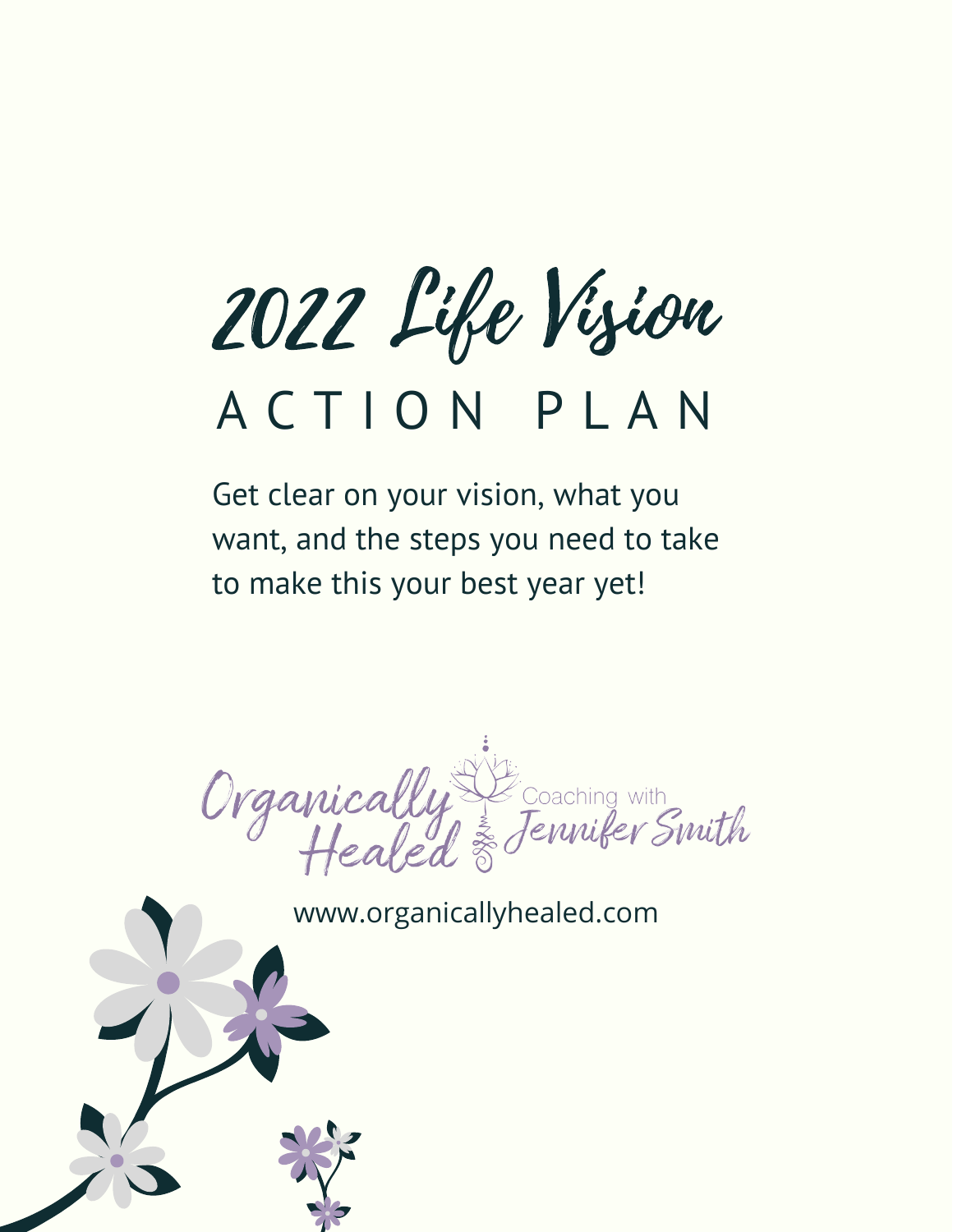2022 Life Vision

## A C T I O N P L A N

Get clear on your vision, what you want, and the steps you need to take to make this your best year yet!

Organically Secreting with

www.organicallyhealed.com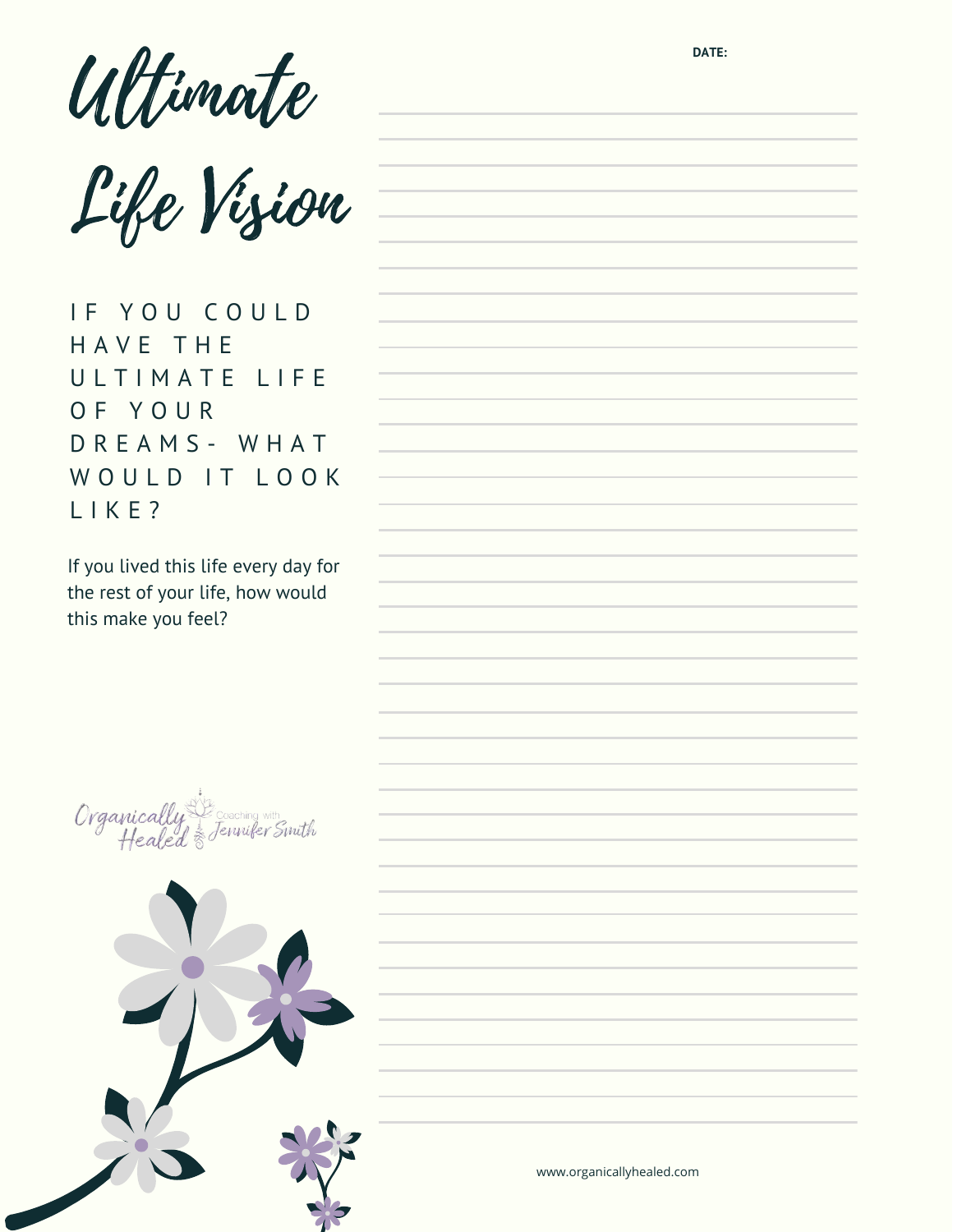**DATE:** Ultimate

Life Vision

IF YOU COULD H A V E T H E ULTIMATE LIFE O F Y O U R D R E A M S - W H A T WOULD IT LOOK L I K E ?

If you lived this life every day for the rest of your life, how would this make you feel?

Organically lenniker

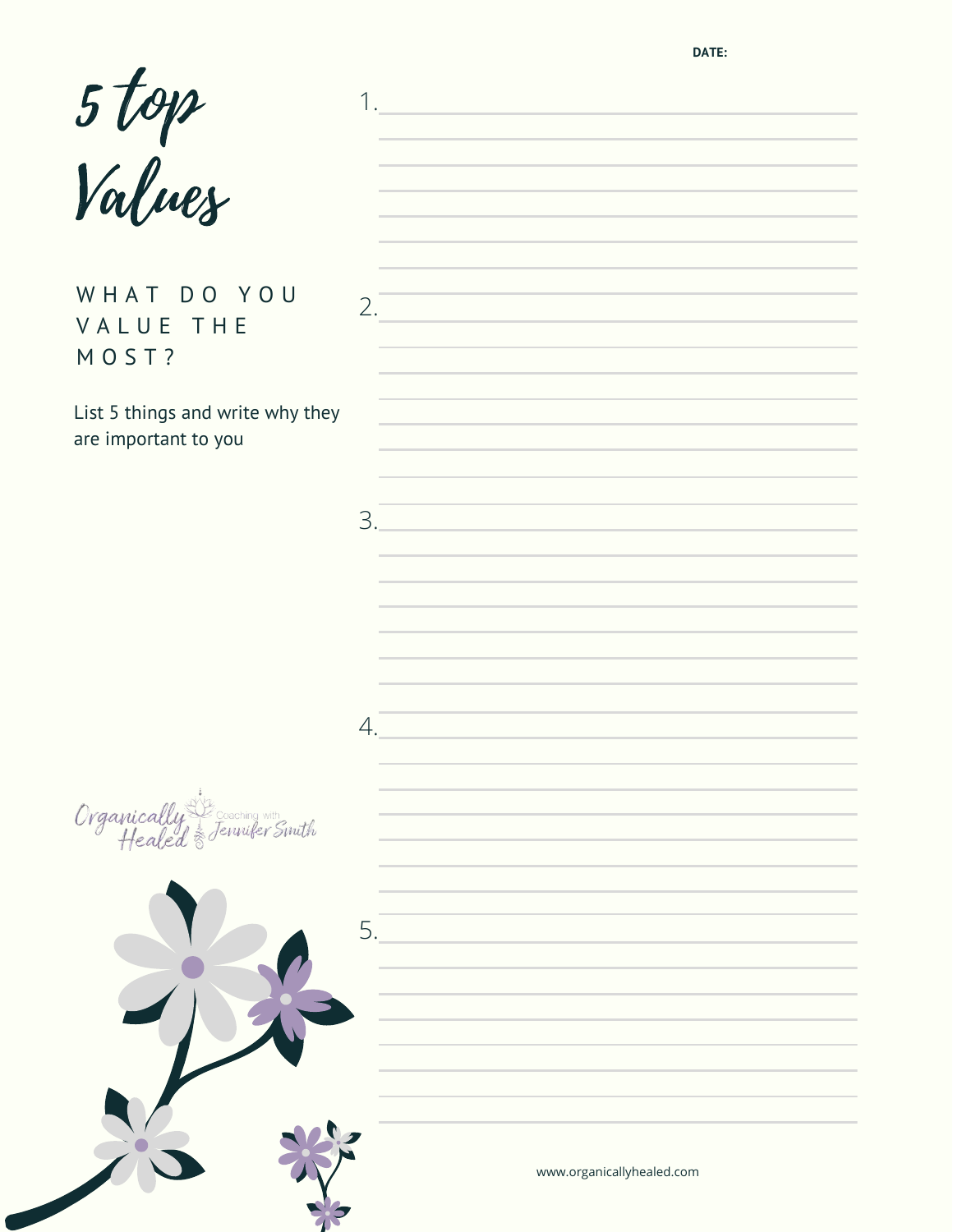**DATE:**

|                                                          |    | $1.$ . The contract of the contract of $\mathcal{L}_\mathcal{A}$ is a set of the contract of $\mathcal{L}_\mathcal{A}$                                                                                                                                                                                                                                |
|----------------------------------------------------------|----|-------------------------------------------------------------------------------------------------------------------------------------------------------------------------------------------------------------------------------------------------------------------------------------------------------------------------------------------------------|
| 5 top<br>Values                                          |    | the control of the control of the control of the control of the control of the control of                                                                                                                                                                                                                                                             |
| WHAT DO YOU<br>VALUE THE<br>MOST?                        |    | the control of the control of the control of the control of the control of<br>2.<br>the control of the control of the control of the control of the control of the control of                                                                                                                                                                         |
| List 5 things and write why they<br>are important to you |    | <u> 1989 - Johann Stein, mars an deus Amerikaansk kommunister (</u><br>the control of the control of the control of the control of the control of the control of<br>the contract of the contract of the contract of the contract of the contract of                                                                                                   |
|                                                          | 3. | the contract of the contract of the contract of the contract of the contract of<br>the contract of the contract of the contract of the contract of the contract of                                                                                                                                                                                    |
|                                                          |    | <u> 1989 - Johann Stein, marwolaethau a bhann an t-Amhair an t-Amhair an t-Amhair an t-Amhair an t-Amhair an t-A</u><br>the control of the control of the control of the control of the control of the control of the control of the control of the control of the control of the control of the control of the control of the control of the control |
|                                                          | 4. | a sa kabilang pangalang sa pangalang sa pangalang na pangalang sa pangalang sa pangalang sa pangalang sa pang                                                                                                                                                                                                                                         |
|                                                          |    | and the control of the control of the control of the control of the control of the control of                                                                                                                                                                                                                                                         |
| Organically & Coaching with                              |    |                                                                                                                                                                                                                                                                                                                                                       |
|                                                          | 5. |                                                                                                                                                                                                                                                                                                                                                       |
|                                                          |    |                                                                                                                                                                                                                                                                                                                                                       |
|                                                          |    | www.organicallyhealed.com                                                                                                                                                                                                                                                                                                                             |

77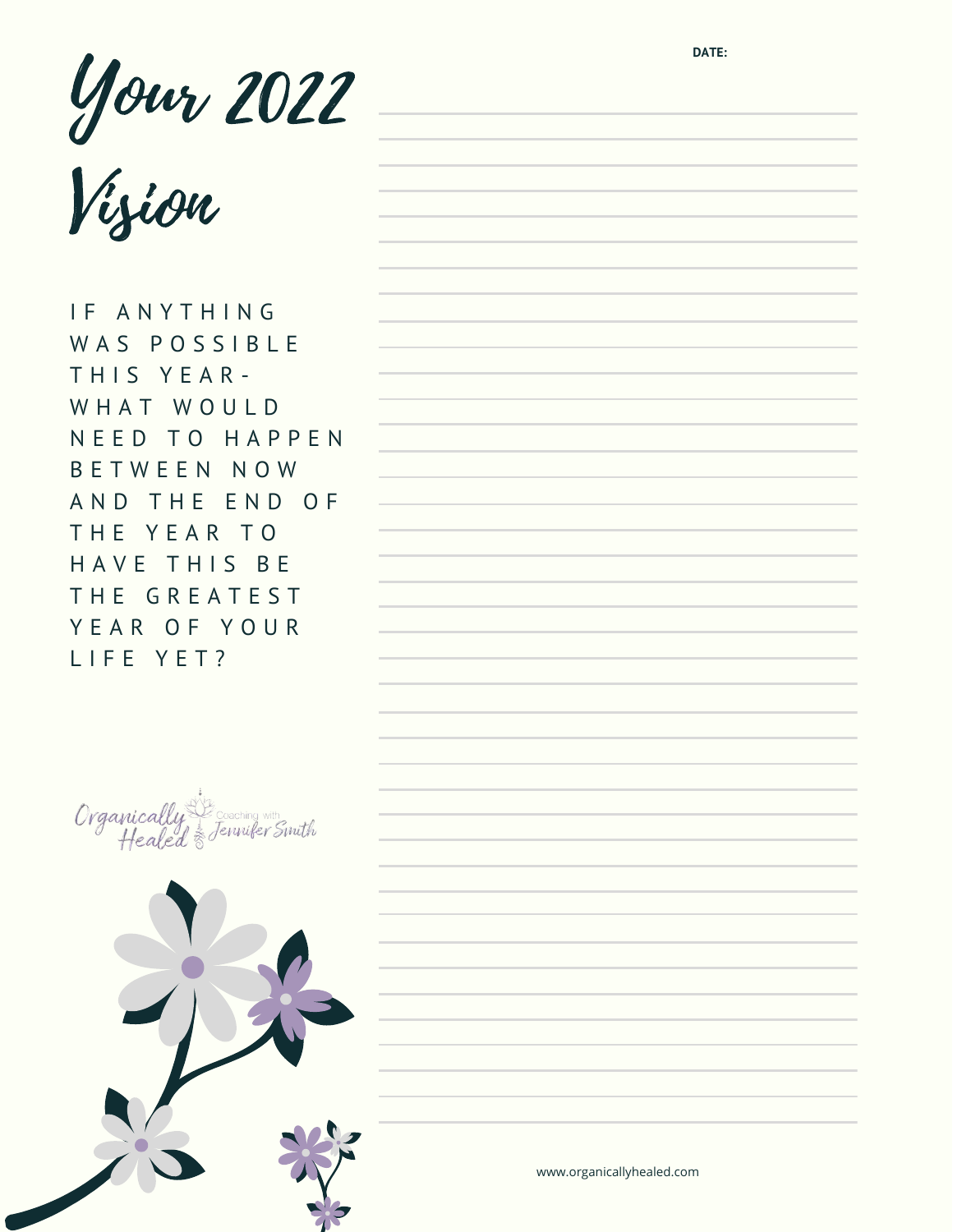Your 2022 Vision

IF ANYTHING WAS POSSIBLE THIS YEAR-WHAT WOULD N E E D T O H A P P E N B E T W E E N N O W AND THE END OF THE YEAR TO HAVE THIS BE THE GREATEST Y E A R O F Y O U R L I F E Y E T ?



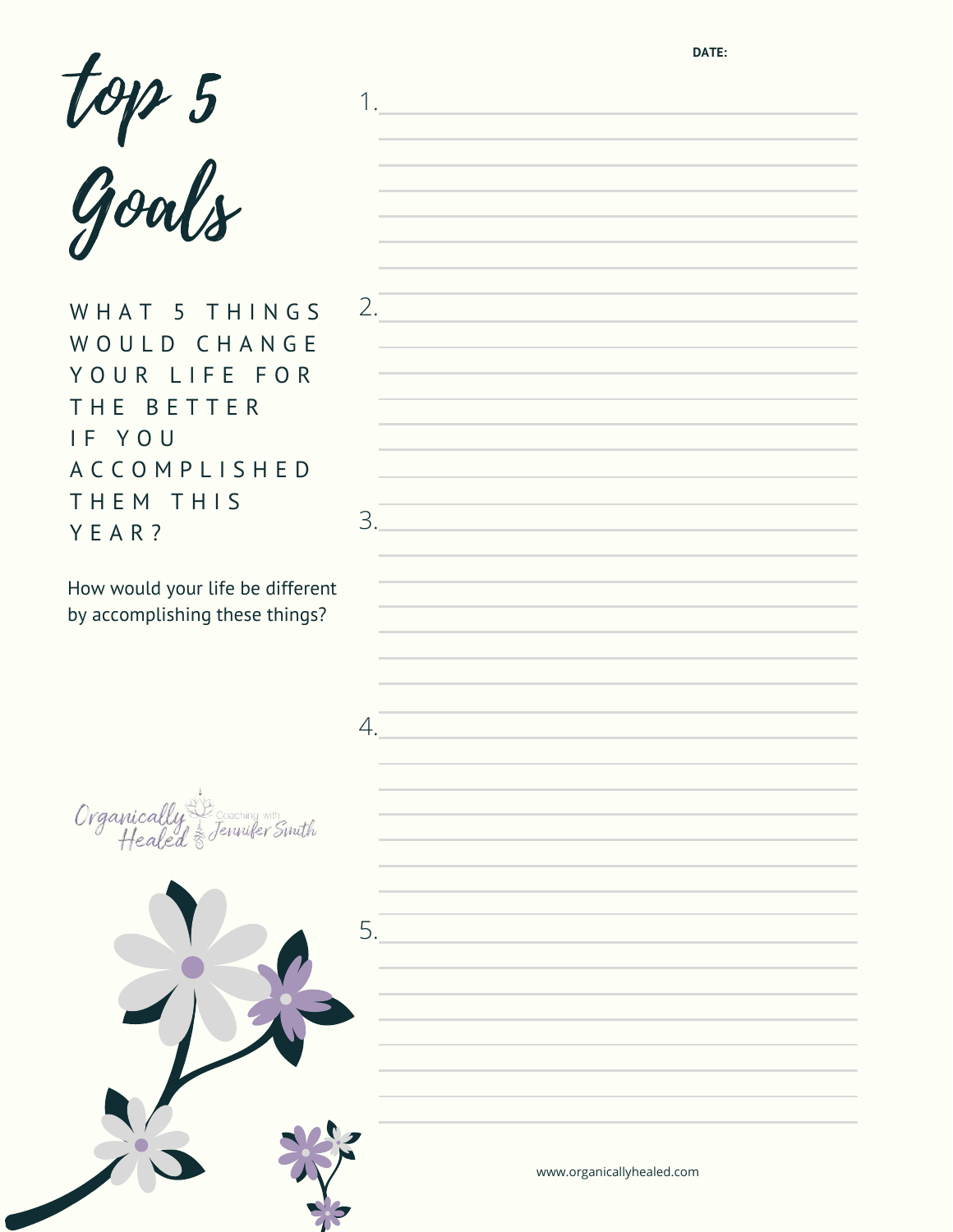**DATE:**

1.

| top 5 |  |
|-------|--|
| Goals |  |

WHAT 5 THINGS WOULD CHANGE YOUR LIFE FOR THE BETTER I F Y O U A C C O M P L I S H E D THEM THIS Y E A R ?

2.

3.

4.

How would your life be different by accomplishing these things?

Organically achina wit Jennifer Smith

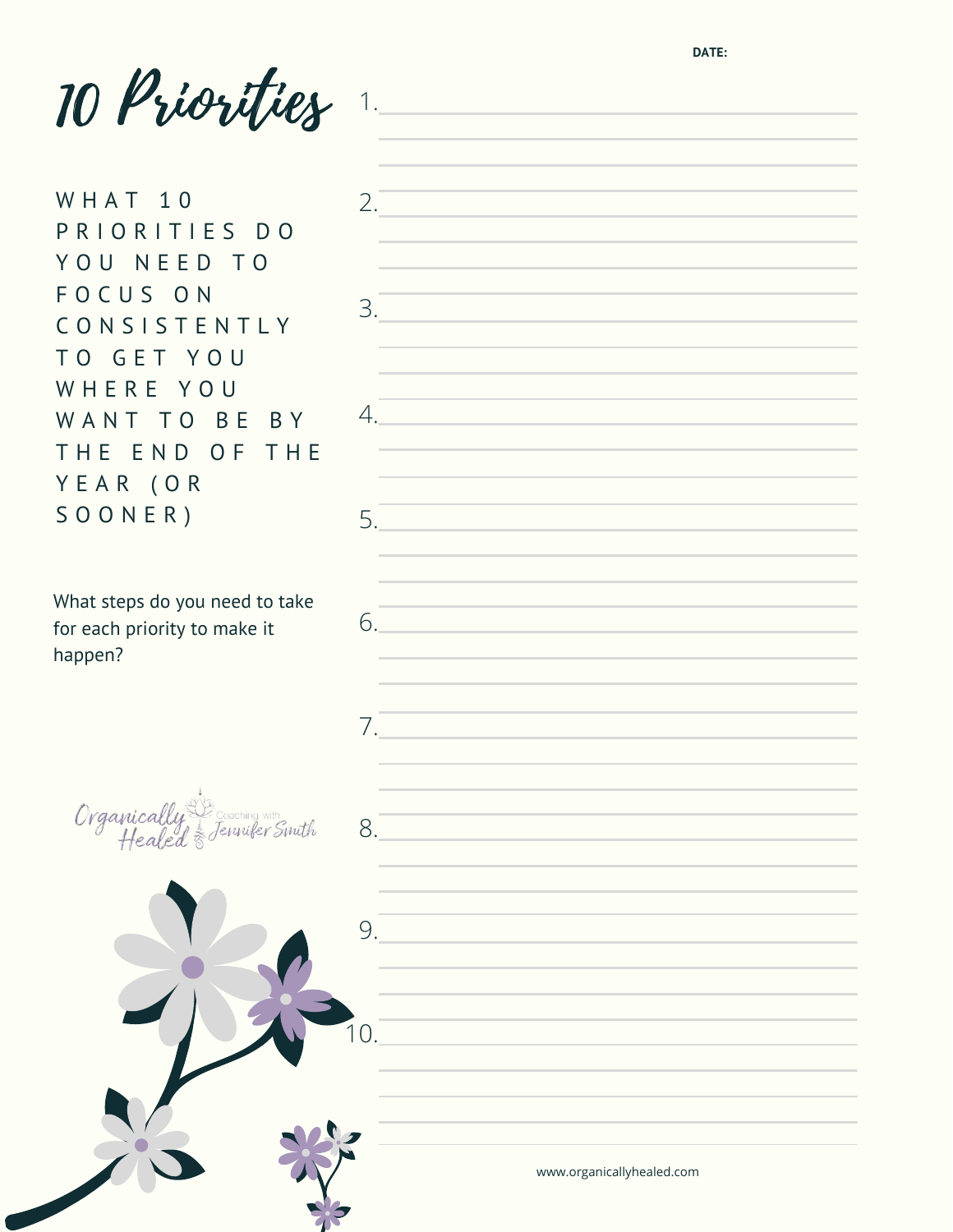**DATE:**

10 Priorities 1.

 $2.$ 

3.

4.

5.

6.

7.

8.

W H A T 1 0 P R I O R I T I E S D O YOU NEED TO F O C U S O N C O N S I S T E N T L Y T O G E T Y O U WHERE YOU WANT TO BE BY THE END OF THE Y E A R ( O R S O O N E R )

What steps do you need to take for each priority to make it happen?